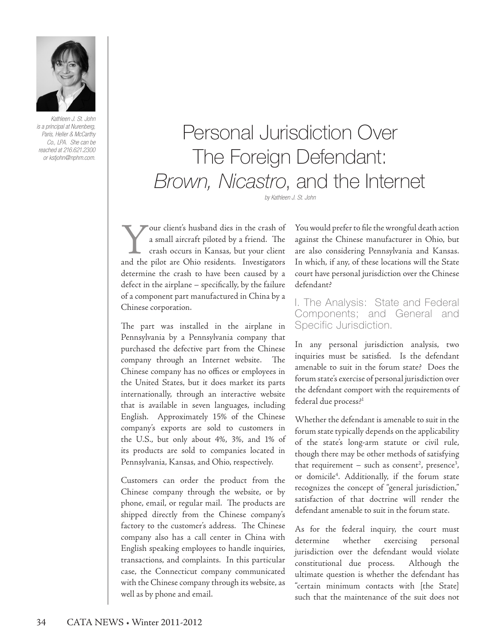

*Kathleen J. St. John is a principal at Nurenberg, Paris, Heller & McCarthy Co., LPA. She can be reached at 216.621.2300 or kstjohn@nphm.com.*

# Personal Jurisdiction Over The Foreign Defendant: *Brown, Nicastro*, and the Internet

*by Kathleen J. St. John*

Your client's husband dies in the crash of<br>a small aircraft piloted by a friend. The<br>crash occurs in Kansas, but your client<br>and the pilot are Ohio residents. Investigators a small aircraft piloted by a friend. The crash occurs in Kansas, but your client and the pilot are Ohio residents. Investigators determine the crash to have been caused by a defect in the airplane – specifically, by the failure of a component part manufactured in China by a Chinese corporation.

The part was installed in the airplane in Pennsylvania by a Pennsylvania company that purchased the defective part from the Chinese company through an Internet website. The Chinese company has no offices or employees in the United States, but it does market its parts internationally, through an interactive website that is available in seven languages, including English. Approximately 15% of the Chinese company's exports are sold to customers in the U.S., but only about 4%, 3%, and 1% of its products are sold to companies located in Pennsylvania, Kansas, and Ohio, respectively.

Customers can order the product from the Chinese company through the website, or by phone, email, or regular mail. The products are shipped directly from the Chinese company's factory to the customer's address. The Chinese company also has a call center in China with English speaking employees to handle inquiries, transactions, and complaints. In this particular case, the Connecticut company communicated with the Chinese company through its website, as well as by phone and email.

You would prefer to file the wrongful death action against the Chinese manufacturer in Ohio, but are also considering Pennsylvania and Kansas. In which, if any, of these locations will the State court have personal jurisdiction over the Chinese defendant?

I. The Analysis: State and Federal Components; and General and Specific Jurisdiction.

In any personal jurisdiction analysis, two inquiries must be satisfied. Is the defendant amenable to suit in the forum state? Does the forum state's exercise of personal jurisdiction over the defendant comport with the requirements of federal due process?<sup>1</sup>

Whether the defendant is amenable to suit in the forum state typically depends on the applicability of the state's long-arm statute or civil rule, though there may be other methods of satisfying that requirement – such as consent<sup>2</sup>, presence<sup>3</sup>, or domicile4 . Additionally, if the forum state recognizes the concept of "general jurisdiction," satisfaction of that doctrine will render the defendant amenable to suit in the forum state.

As for the federal inquiry, the court must determine whether exercising personal jurisdiction over the defendant would violate constitutional due process. Although the ultimate question is whether the defendant has "certain minimum contacts with [the State] such that the maintenance of the suit does not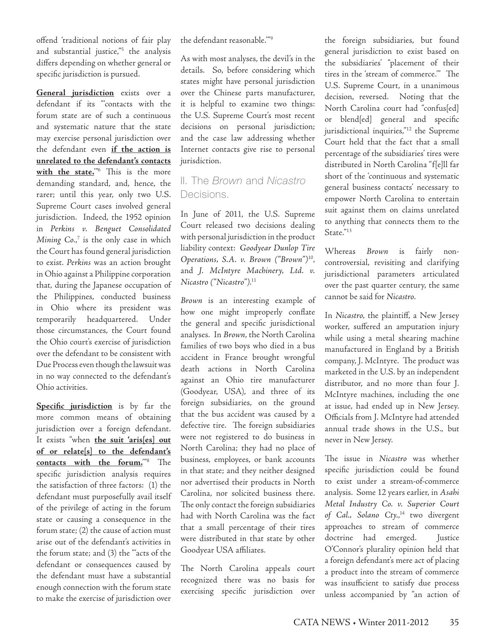offend 'traditional notions of fair play and substantial justice,"5 the analysis differs depending on whether general or specific jurisdiction is pursued.

**General jurisdiction** exists over a defendant if its "'contacts with the forum state are of such a continuous and systematic nature that the state may exercise personal jurisdiction over the defendant even **if the action is unrelated to the defendant's contacts with the state.**'"6 This is the more demanding standard, and, hence, the rarer; until this year, only two U.S. Supreme Court cases involved general jurisdiction. Indeed, the 1952 opinion in *Perkins v. Benguet Consolidated*  Mining Co.,<sup>7</sup> is the only case in which the Court has found general jurisdiction to exist. *Perkins* was an action brought in Ohio against a Philippine corporation that, during the Japanese occupation of the Philippines, conducted business in Ohio where its president was temporarily headquartered. Under those circumstances, the Court found the Ohio court's exercise of jurisdiction over the defendant to be consistent with Due Process even though the lawsuit was in no way connected to the defendant's Ohio activities.

**Specific jurisdiction** is by far the more common means of obtaining jurisdiction over a foreign defendant. It exists "when **the suit 'aris[es] out of or relate[s] to the defendant's contacts with the forum.**'"8 The specific jurisdiction analysis requires the satisfaction of three factors: (1) the defendant must purposefully avail itself of the privilege of acting in the forum state or causing a consequence in the forum state; (2) the cause of action must arise out of the defendant's activities in the forum state; and (3) the "'acts of the defendant or consequences caused by the defendant must have a substantial enough connection with the forum state to make the exercise of jurisdiction over

the defendant reasonable.'"9

As with most analyses, the devil's in the details. So, before considering which states might have personal jurisdiction over the Chinese parts manufacturer, it is helpful to examine two things: the U.S. Supreme Court's most recent decisions on personal jurisdiction; and the case law addressing whether Internet contacts give rise to personal jurisdiction.

### II. The *Brown* and *Nicastro* Decisions.

In June of 2011, the U.S. Supreme Court released two decisions dealing with personal jurisdiction in the product liability context: *Goodyear Dunlop Tire Operations, S.A. v. Brown ("Brown")*10, and *J. McIntyre Machinery, Ltd. v. Nicastro ("Nicastro")*. 11

*Brown* is an interesting example of how one might improperly conflate the general and specific jurisdictional analyses. In *Brown*, the North Carolina families of two boys who died in a bus accident in France brought wrongful death actions in North Carolina against an Ohio tire manufacturer (Goodyear, USA), and three of its foreign subsidiaries, on the ground that the bus accident was caused by a defective tire. The foreign subsidiaries were not registered to do business in North Carolina; they had no place of business, employees, or bank accounts in that state; and they neither designed nor advertised their products in North Carolina, nor solicited business there. The only contact the foreign subsidiaries had with North Carolina was the fact that a small percentage of their tires were distributed in that state by other Goodyear USA affiliates.

The North Carolina appeals court recognized there was no basis for exercising specific jurisdiction over

the foreign subsidiaries, but found general jurisdiction to exist based on the subsidiaries' "placement of their tires in the 'stream of commerce.'" The U.S. Supreme Court, in a unanimous decision, reversed. Noting that the North Carolina court had "confus[ed] or blend[ed] general and specific jurisdictional inquiries,"<sup>12</sup> the Supreme Court held that the fact that a small percentage of the subsidiaries' tires were distributed in North Carolina "f[e]ll far short of the 'continuous and systematic general business contacts' necessary to empower North Carolina to entertain suit against them on claims unrelated to anything that connects them to the State."<sup>13</sup>

Whereas *Brown* is fairly noncontroversial, revisiting and clarifying jurisdictional parameters articulated over the past quarter century, the same cannot be said for *Nicastro*.

In *Nicastro*, the plaintiff, a New Jersey worker, suffered an amputation injury while using a metal shearing machine manufactured in England by a British company, J. McIntyre. The product was marketed in the U.S. by an independent distributor, and no more than four J. McIntyre machines, including the one at issue, had ended up in New Jersey. Officials from J. McIntyre had attended annual trade shows in the U.S., but never in New Jersey.

The issue in *Nicastro* was whether specific jurisdiction could be found to exist under a stream-of-commerce analysis. Some 12 years earlier, in *Asahi Metal Industry Co. v. Superior Court of Cal., Solano Cty.*, 14 two divergent approaches to stream of commerce doctrine had emerged. Justice O'Connor's plurality opinion held that a foreign defendant's mere act of placing a product into the stream of commerce was insufficient to satisfy due process unless accompanied by "an action of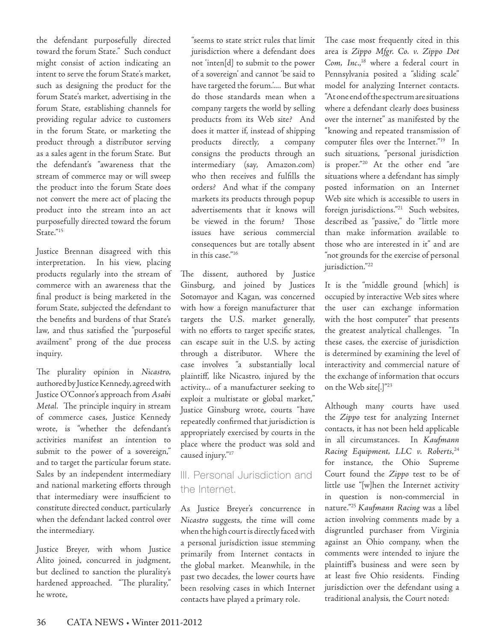the defendant purposefully directed toward the forum State." Such conduct might consist of action indicating an intent to serve the forum State's market, such as designing the product for the forum State's market, advertising in the forum State, establishing channels for providing regular advice to customers in the forum State, or marketing the product through a distributor serving as a sales agent in the forum State. But the defendant's "awareness that the stream of commerce may or will sweep the product into the forum State does not convert the mere act of placing the product into the stream into an act purposefully directed toward the forum State."15

Justice Brennan disagreed with this interpretation. In his view, placing products regularly into the stream of commerce with an awareness that the final product is being marketed in the forum State, subjected the defendant to the benefits and burdens of that State's law, and thus satisfied the "purposeful availment" prong of the due process inquiry.

The plurality opinion in *Nicastro,*  authored by Justice Kennedy, agreed with Justice O'Connor's approach from *Asahi Metal*. The principle inquiry in stream of commerce cases, Justice Kennedy wrote, is "whether the defendant's activities manifest an intention to submit to the power of a sovereign," and to target the particular forum state. Sales by an independent intermediary and national marketing efforts through that intermediary were insufficient to constitute directed conduct, particularly when the defendant lacked control over the intermediary.

Justice Breyer, with whom Justice Alito joined, concurred in judgment, but declined to sanction the plurality's hardened approached. "The plurality," he wrote,

"seems to state strict rules that limit jurisdiction where a defendant does not 'inten[d] to submit to the power of a sovereign' and cannot 'be said to have targeted the forum.'.... But what do those standards mean when a company targets the world by selling products from its Web site? And does it matter if, instead of shipping products directly, a company consigns the products through an intermediary (say, Amazon.com) who then receives and fulfills the orders? And what if the company markets its products through popup advertisements that it knows will be viewed in the forum? Those issues have serious commercial consequences but are totally absent in this case."16

The dissent, authored by Justice Ginsburg, and joined by Justices Sotomayor and Kagan, was concerned with how a foreign manufacturer that targets the U.S. market generally, with no efforts to target specific states, can escape suit in the U.S. by acting through a distributor. Where the case involves "a substantially local plaintiff, like Nicastro, injured by the activity... of a manufacturer seeking to exploit a multistate or global market," Justice Ginsburg wrote, courts "have repeatedly confirmed that jurisdiction is appropriately exercised by courts in the place where the product was sold and caused injury."17

#### III. Personal Jurisdiction and the Internet.

As Justice Breyer's concurrence in *Nicastro* suggests, the time will come when the high court is directly faced with a personal jurisdiction issue stemming primarily from Internet contacts in the global market. Meanwhile, in the past two decades, the lower courts have been resolving cases in which Internet contacts have played a primary role.

The case most frequently cited in this area is *Zippo Mfgr. Co. v. Zippo Dot Com, Inc.*, 18 where a federal court in Pennsylvania posited a "sliding scale" model for analyzing Internet contacts. "At one end of the spectrum are situations where a defendant clearly does business over the internet" as manifested by the "knowing and repeated transmission of computer files over the Internet."19 In such situations, "personal jurisdiction is proper."20 At the other end "are situations where a defendant has simply posted information on an Internet Web site which is accessible to users in foreign jurisdictions."21 Such websites, described as "passive," do "little more than make information available to those who are interested in it" and are "not grounds for the exercise of personal jurisdiction."<sup>22</sup>

It is the "middle ground [which] is occupied by interactive Web sites where the user can exchange information with the host computer" that presents the greatest analytical challenges. "In these cases, the exercise of jurisdiction is determined by examining the level of interactivity and commercial nature of the exchange of information that occurs on the Web site[.]"23

Although many courts have used the *Zippo* test for analyzing Internet contacts, it has not been held applicable in all circumstances. In *Kaufmann Racing Equipment, LLC v. Roberts*, 24 for instance, the Ohio Supreme Court found the *Zippo* test to be of little use "[w]hen the Internet activity in question is non-commercial in nature."25 *Kaufmann Racing* was a libel action involving comments made by a disgruntled purchaser from Virginia against an Ohio company, when the comments were intended to injure the plaintiff's business and were seen by at least five Ohio residents. Finding jurisdiction over the defendant using a traditional analysis, the Court noted: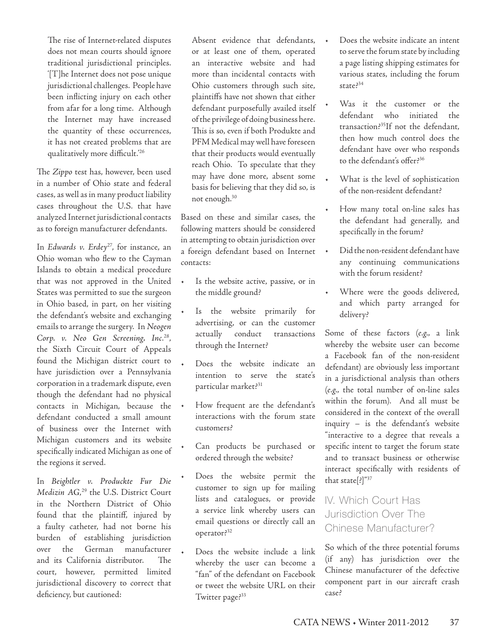The rise of Internet-related disputes does not mean courts should ignore traditional jurisdictional principles. '[T]he Internet does not pose unique jurisdictional challenges. People have been inflicting injury on each other from afar for a long time. Although the Internet may have increased the quantity of these occurrences, it has not created problems that are qualitatively more difficult.'26

The *Zippo* test has, however, been used in a number of Ohio state and federal cases, as well as in many product liability cases throughout the U.S. that have analyzed Internet jurisdictional contacts as to foreign manufacturer defendants.

In *Edwards v. Erdey<sup>27</sup>*, for instance, an Ohio woman who flew to the Cayman Islands to obtain a medical procedure that was not approved in the United States was permitted to sue the surgeon in Ohio based, in part, on her visiting the defendant's website and exchanging emails to arrange the surgery. In *Neogen Corp. v. Neo Gen Screening, Inc*. 28, the Sixth Circuit Court of Appeals found the Michigan district court to have jurisdiction over a Pennsylvania corporation in a trademark dispute, even though the defendant had no physical contacts in Michigan, because the defendant conducted a small amount of business over the Internet with Michigan customers and its website specifically indicated Michigan as one of the regions it served.

In *Beightler v. Produckte Fur Die Medizin AG*, 29 the U.S. District Court in the Northern District of Ohio found that the plaintiff, injured by a faulty catheter, had not borne his burden of establishing jurisdiction over the German manufacturer and its California distributor. The court, however, permitted limited jurisdictional discovery to correct that deficiency, but cautioned:

Absent evidence that defendants, or at least one of them, operated an interactive website and had more than incidental contacts with Ohio customers through such site, plaintiffs have not shown that either defendant purposefully availed itself of the privilege of doing business here. This is so, even if both Produkte and PFM Medical may well have foreseen that their products would eventually reach Ohio. To speculate that they may have done more, absent some basis for believing that they did so, is not enough.30

Based on these and similar cases, the following matters should be considered in attempting to obtain jurisdiction over a foreign defendant based on Internet contacts:

- Is the website active, passive, or in the middle ground?
- Is the website primarily for advertising, or can the customer actually conduct transactions through the Internet?
- Does the website indicate an intention to serve the state's particular market?<sup>31</sup>
- How frequent are the defendant's interactions with the forum state customers?
- Can products be purchased or ordered through the website?
- Does the website permit the customer to sign up for mailing lists and catalogues, or provide a service link whereby users can email questions or directly call an operator?32
- • Does the website include a link whereby the user can become a "fan" of the defendant on Facebook or tweet the website URL on their Twitter page?<sup>33</sup>
- Does the website indicate an intent to serve the forum state by including a page listing shipping estimates for various states, including the forum state?<sup>34</sup>
- Was it the customer or the defendant who initiated the transaction?35If not the defendant, then how much control does the defendant have over who responds to the defendant's offer?36
- • What is the level of sophistication of the non-resident defendant?
- How many total on-line sales has the defendant had generally, and specifically in the forum?
- Did the non-resident defendant have any continuing communications with the forum resident?
- Where were the goods delivered, and which party arranged for delivery?

Some of these factors (*e.g.,* a link whereby the website user can become a Facebook fan of the non-resident defendant) are obviously less important in a jurisdictional analysis than others (*e.g.,* the total number of on-line sales within the forum). And all must be considered in the context of the overall inquiry – is the defendant's website "interactive to a degree that reveals a specific intent to target the forum state and to transact business or otherwise interact specifically with residents of that state[?]"37

## IV. Which Court Has Jurisdiction Over The Chinese Manufacturer?

So which of the three potential forums (if any) has jurisdiction over the Chinese manufacturer of the defective component part in our aircraft crash case?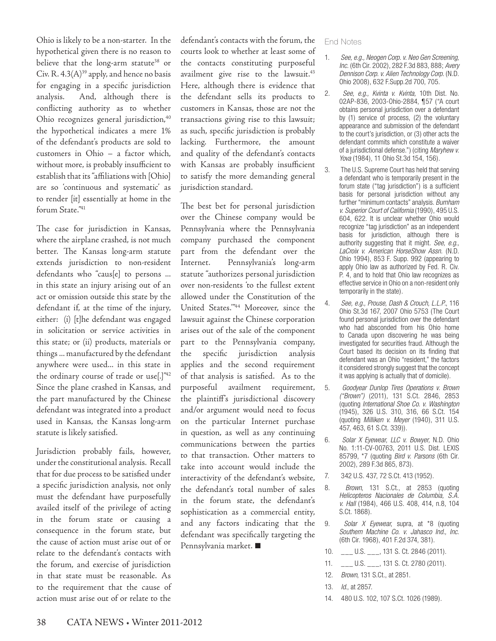Ohio is likely to be a non-starter. In the hypothetical given there is no reason to believe that the long-arm statute<sup>38</sup> or Civ. R.  $4.3(A)^{39}$  apply, and hence no basis for engaging in a specific jurisdiction analysis. And, although there is conflicting authority as to whether Ohio recognizes general jurisdiction,<sup>40</sup> the hypothetical indicates a mere 1% of the defendant's products are sold to customers in Ohio – a factor which, without more, is probably insufficient to establish that its "affiliations with [Ohio] are so 'continuous and systematic' as to render [it] essentially at home in the forum State."41

The case for jurisdiction in Kansas, where the airplane crashed, is not much better. The Kansas long-arm statute extends jurisdiction to non-resident defendants who "caus[e] to persons ... in this state an injury arising out of an act or omission outside this state by the defendant if, at the time of the injury, either: (i) [t]he defendant was engaged in solicitation or service activities in this state; or (ii) products, materials or things ... manufactured by the defendant anywhere were used... in this state in the ordinary course of trade or use[.]"42 Since the plane crashed in Kansas, and the part manufactured by the Chinese defendant was integrated into a product used in Kansas, the Kansas long-arm statute is likely satisfied.

Jurisdiction probably fails, however, under the constitutional analysis. Recall that for due process to be satisfied under a specific jurisdiction analysis, not only must the defendant have purposefully availed itself of the privilege of acting in the forum state or causing a consequence in the forum state, but the cause of action must arise out of or relate to the defendant's contacts with the forum, and exercise of jurisdiction in that state must be reasonable. As to the requirement that the cause of action must arise out of or relate to the

defendant's contacts with the forum, the courts look to whether at least some of the contacts constituting purposeful availment give rise to the lawsuit.<sup>43</sup> Here, although there is evidence that the defendant sells its products to customers in Kansas, those are not the transactions giving rise to this lawsuit; as such, specific jurisdiction is probably lacking. Furthermore, the amount and quality of the defendant's contacts with Kansas are probably insufficient to satisfy the more demanding general jurisdiction standard.

The best bet for personal jurisdiction over the Chinese company would be Pennsylvania where the Pennsylvania company purchased the component part from the defendant over the Internet. Pennsylvania's long-arm statute "authorizes personal jurisdiction over non-residents 'to the fullest extent allowed under the Constitution of the United States.'"44 Moreover, since the lawsuit against the Chinese corporation arises out of the sale of the component part to the Pennsylvania company, the specific jurisdiction analysis applies and the second requirement of that analysis is satisfied. As to the purposeful availment requirement, the plaintiff's jurisdictional discovery and/or argument would need to focus on the particular Internet purchase in question, as well as any continuing communications between the parties to that transaction. Other matters to take into account would include the interactivity of the defendant's website, the defendant's total number of sales in the forum state, the defendant's sophistication as a commercial entity, and any factors indicating that the defendant was specifically targeting the Pennsylvania market. **■**

#### End Notes

- 1. *See, e.g., Neogen Corp. v. Neo Gen Screening, Inc.* (6th Cir. 2002), 282 F.3d 883, 888; *Avery Dennison Corp. v. Alien Technology Corp.* (N.D. Ohio 2008), 632 F.Supp.2d 700, 705.
- 2. *See, e.g., Kvinta v. Kvinta,* 10th Dist. No. 02AP-836, 2003-Ohio-2884, ¶57 ("A court obtains personal jurisdiction over a defendant by (1) service of process, (2) the voluntary appearance and submission of the defendant to the court's jurisdiction, or (3) other acts the defendant commits which constitute a waiver of a jurisdictional defense.") (citing *Maryhew v. Yova* (1984), 11 Ohio St.3d 154, 156).
- 3. The U.S. Supreme Court has held that serving a defendant who is temporarily present in the forum state ("tag jurisdiction") is a sufficient basis for personal jurisdiction without any further "minimum contacts" analysis. *Burnham v. Superior Court of California* (1990), 495 U.S. 604, 622. It is unclear whether Ohio would recognize "tag jurisdiction" as an independent basis for jurisdiction, although there is authority suggesting that it might. *See, e.g., LaCroix v. American HorseShow Assn.* (N.D. Ohio 1994), 853 F. Supp. 992 (appearing to apply Ohio law as authorized by Fed. R. Civ. P. 4, and to hold that Ohio law recognizes as effective service in Ohio on a non-resident only temporarily in the state).
- 4. *See, e.g., Prouse, Dash & Crouch, L.L.P.*, 116 Ohio St.3d 167, 2007 Ohio 5753 (The Court found personal jurisdiction over the defendant who had absconded from his Ohio home to Canada upon discovering he was being investigated for securities fraud. Although the Court based its decision on its finding that defendant was an Ohio "resident," the factors it considered strongly suggest that the concept it was applying is actually that of domicile).
- 5. *Goodyear Dunlop Tires Operations v. Brown ("Brown")* (2011), 131 S.Ct. 2846, 2853 (quoting *International Shoe Co. v. Washington* (1945), 326 U.S. 310, 316, 66 S.Ct. 154 (quoting *Milliken v. Meyer* (1940), 311 U.S. 457, 463, 61 S.Ct. 339)).
- 6. *Solar X Eyewear, LLC v. Bowyer,* N.D. Ohio No. 1:11-CV-00763, 2011 U.S. Dist. LEXIS 85799, \*7 (quoting *Bird v. Parsons* (6th Cir. 2002), 289 F.3d 865, 873).
- 7. 342 U.S. 437, 72 S.Ct. 413 (1952).
- 8. *Brown*, 131 S.Ct., at 2853 (quoting *Helicopteros Nacionales de Columbia, S.A. v. Hall* (1984), 466 U.S. 408, 414, n.8, 104 S.Ct. 1868).
- 9. *Solar X Eyewear*, supra, at \*8 (quoting *Southern Machine Co. v. Jahasco Ind., Inc.*  (6th Cir. 1968), 401 F.2d 374, 381).
- 10. \_\_\_ U.S. \_\_\_, 131 S. Ct. 2846 (2011).
- 11. \_\_\_ U.S. \_\_\_, 131 S. Ct. 2780 (2011).
- 12. *Brown*, 131 S.Ct., at 2851.
- 13. *Id*., at 2857.
- 14. 480 U.S. 102, 107 S.Ct. 1026 (1989).